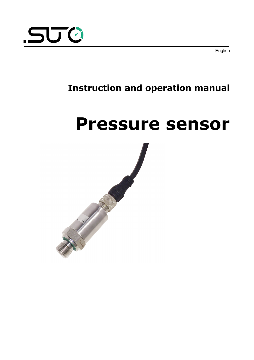

English

# **Instruction and operation manual**

# <span id="page-0-0"></span>**Pressure sensor**

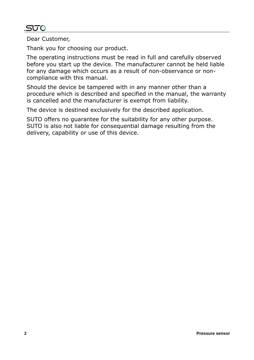# .SU 0

Dear Customer,

Thank you for choosing our product.

The operating instructions must be read in full and carefully observed before you start up the device. The manufacturer cannot be held liable for any damage which occurs as a result of non-observance or noncompliance with this manual.

Should the device be tampered with in any manner other than a procedure which is described and specified in the manual, the warranty is cancelled and the manufacturer is exempt from liability.

The device is destined exclusively for the described application.

SUTO offers no guarantee for the suitability for any other purpose. SUTO is also not liable for consequential damage resulting from the delivery, capability or use of this device.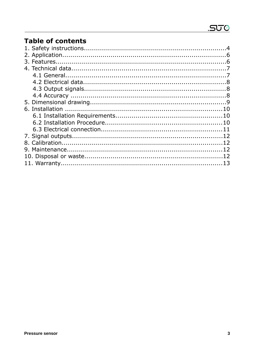# **Table of contents**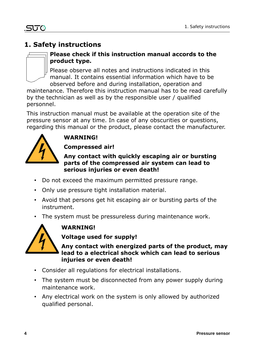# **1. Safety instructions**



#### **Please check if this instruction manual accords to the product type.**

Please observe all notes and instructions indicated in this manual. It contains essential information which have to be observed before and during installation, operation and

maintenance. Therefore this instruction manual has to be read carefully by the technician as well as by the responsible user / qualified personnel.

This instruction manual must be available at the operation site of the pressure sensor at any time. In case of any obscurities or questions, regarding this manual or the product, please contact the manufacturer.



# **WARNING!**

**Compressed air!**

#### **Any contact with quickly escaping air or bursting parts of the compressed air system can lead to serious injuries or even death!**

- Do not exceed the maximum permitted pressure range.
- Only use pressure tight installation material.
- Avoid that persons get hit escaping air or bursting parts of the instrument.
- The system must be pressureless during maintenance work.



# **WARNING!**

**Voltage used for supply!**

**Any contact with energized parts of the product, may lead to a electrical shock which can lead to serious injuries or even death!**

- Consider all regulations for electrical installations.
- The system must be disconnected from any power supply during maintenance work.
- Any electrical work on the system is only allowed by authorized qualified personal.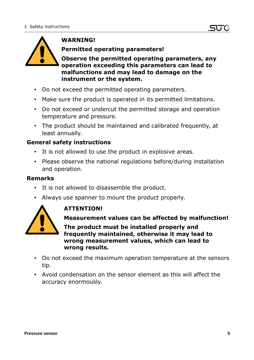

#### **WARNING!**

**Permitted operating parameters!**

**Observe the permitted operating parameters, any operation exceeding this parameters can lead to malfunctions and may lead to damage on the instrument or the system.**

- Do not exceed the permitted operating parameters.
- Make sure the product is operated in its permitted limitations.
- Do not exceed or undercut the permitted storage and operation temperature and pressure.
- The product should be maintained and calibrated frequently, at least annually.

#### **General safety instructions**

- It is not allowed to use the product in explosive areas.
- Please observe the national regulations before/during installation and operation.

#### **Remarks**

- It is not allowed to disassemble the product.
- Always use spanner to mount the product properly.



#### **ATTENTION!**

**Measurement values can be affected by malfunction!**

**The product must be installed properly and frequently maintained, otherwise it may lead to wrong measurement values, which can lead to wrong results.**

- Do not exceed the maximum operation temperature at the sensors tip.
- Avoid condensation on the sensor element as this will affect the accuracy enormously.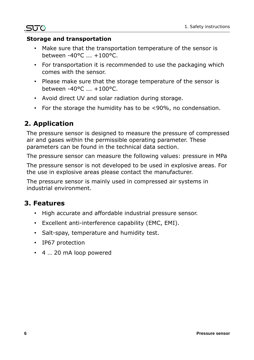#### **Storage and transportation**

- Make sure that the transportation temperature of the sensor is between -40°C ... +100°C.
- For transportation it is recommended to use the packaging which comes with the sensor.
- Please make sure that the storage temperature of the sensor is between -40°C ... +100°C.
- Avoid direct UV and solar radiation during storage.
- For the storage the humidity has to be <90%, no condensation.

### **2. Application**

.SUC

The pressure sensor is designed to measure the pressure of compressed air and gases within the permissible operating parameter. These parameters can be found in the technical data section.

The pressure sensor can measure the following values: pressure in MPa

The pressure sensor is not developed to be used in explosive areas. For the use in explosive areas please contact the manufacturer.

The pressure sensor is mainly used in compressed air systems in industrial environment.

#### **3. Features**

- High accurate and affordable industrial pressure sensor.
- Excellent anti-interference capability (EMC, EMI).
- Salt-spay, temperature and humidity test.
- IP67 protection
- 4 … 20 mA loop powered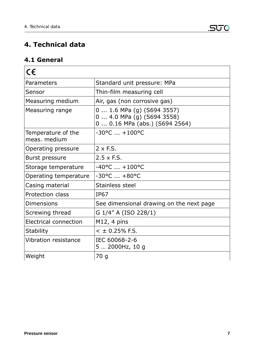# **4. Technical data**

### **4.1 General**

| $\epsilon$                         |                                                                                             |  |
|------------------------------------|---------------------------------------------------------------------------------------------|--|
| Parameters                         | Standard unit pressure: MPa                                                                 |  |
| Sensor                             | Thin-film measuring cell                                                                    |  |
| Measuring medium                   | Air, gas (non corrosive gas)                                                                |  |
| Measuring range                    | $0 1.6$ MPa (g) (S694 3557)<br>0  4.0 MPa (g) (S694 3558)<br>0  0.16 MPa (abs.) (S694 2564) |  |
| Temperature of the<br>meas, medium | $-30^{\circ}$ C $ +100^{\circ}$ C                                                           |  |
| Operating pressure                 | $2 \times F.S.$                                                                             |  |
| <b>Burst pressure</b>              | $2.5 \times F.S.$                                                                           |  |
| Storage temperature                | $-40$ °C $ +100$ °C                                                                         |  |
| Operating temperature              | $-30^{\circ}$ C $+80^{\circ}$ C                                                             |  |
| Casing material                    | Stainless steel                                                                             |  |
| Protection class                   | <b>IP67</b>                                                                                 |  |
| <b>Dimensions</b>                  | See dimensional drawing on the next page                                                    |  |
| Screwing thread                    | G 1/4" A (ISO 228/1)                                                                        |  |
| Electrical connection              | $M12$ , 4 pins                                                                              |  |
| <b>Stability</b>                   | $<$ ± 0.25% F.S.                                                                            |  |
| <b>Vibration resistance</b>        | IEC 60068-2-6<br>5  2000Hz, 10 g                                                            |  |
| Weight                             | 70 g                                                                                        |  |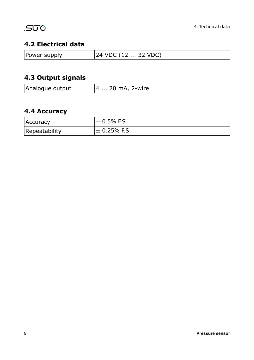#### **4.2 Electrical data**

| Power supply | $ 24 \text{ VDC } (12 \dots 32 \text{ VDC})$ |
|--------------|----------------------------------------------|
|--------------|----------------------------------------------|

# **4.3 Output signals**

| Analogue output | $ 4 20$ mA, 2-wire |
|-----------------|--------------------|
|-----------------|--------------------|

# **4.4 Accuracy**

| <b>Accuracy</b> | $\pm$ 0.5% F.S.  |
|-----------------|------------------|
| Repeatability   | $\pm$ 0.25% F.S. |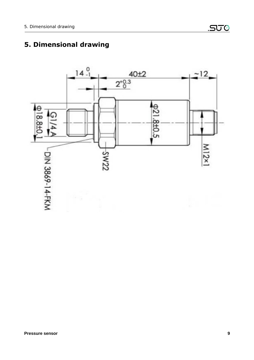# $14<sup>0</sup>$  $40<sub>±2</sub>$  $-12$  $2^{+0.3}_{0}$  $921.8 \pm 0.5$ G M<sub>12</sub>x<sub>1</sub> -DIN 3869-14-FKM **ZZMS**

# **5. Dimensional drawing**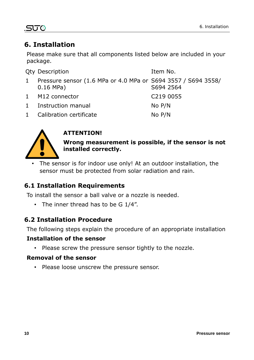# .SUC

# **6. Installation**

Please make sure that all components listed below are included in your package.

|              | <b>Qty Description</b>                                                       | Item No.  |
|--------------|------------------------------------------------------------------------------|-----------|
| $\mathbf{1}$ | Pressure sensor (1.6 MPa or 4.0 MPa or S694 3557 / S694 3558/<br>$0.16$ MPa) | S694 2564 |
|              | 1 M12 connector                                                              | C219 0055 |
| $\mathbf{1}$ | Instruction manual                                                           | No P/N    |
| $\mathbf{1}$ | Calibration certificate                                                      | No P/N    |



# **ATTENTION!**

**Wrong measurement is possible, if the sensor is not installed correctly.**

The sensor is for indoor use only! At an outdoor installation, the sensor must be protected from solar radiation and rain.

# **6.1 Installation Requirements**

To install the sensor a ball valve or a nozzle is needed.

• The inner thread has to be G 1/4".

# **6.2 Installation Procedure**

The following steps explain the procedure of an appropriate installation

#### **Installation of the sensor**

• Please screw the pressure sensor tightly to the nozzle.

#### **Removal of the sensor**

• Please loose unscrew the pressure sensor.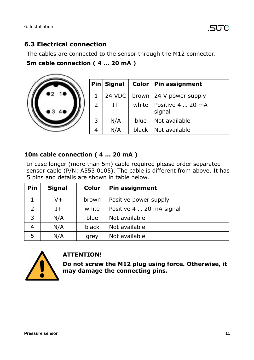#### **6.3 Electrical connection**

The cables are connected to the sensor through the M12 connector.

#### **5m cable connection ( 4 … 20 mA )**



|   | $Pin $ Signal |       | Color   Pin assignment              |
|---|---------------|-------|-------------------------------------|
| 1 | 24 VDC        |       | brown 24 V power supply             |
| 2 | $1+$          |       | white   Positive 4  20 mA<br>signal |
| 3 | N/A           | blue  | Not available                       |
|   | N/A           | black | Not available                       |

#### **10m cable connection ( 4 … 20 mA )**

In case longer (more than 5m) cable required please order separated sensor cable (P/N: A553 0105). The cable is different from above. It has 5 pins and details are shown in table below.

| Pin            | <b>Signal</b> | <b>Color</b> | <b>Pin assignment</b>    |
|----------------|---------------|--------------|--------------------------|
|                | V+            | brown        | Positive power supply    |
| 2              | $I+$          | white        | Positive 4  20 mA signal |
| 3              | N/A           | blue         | Not available            |
| $\overline{4}$ | N/A           | black        | Not available            |
| 5              | N/A           | grey         | Not available            |



#### **ATTENTION!**

**Do not screw the M12 plug using force. Otherwise, it may damage the connecting pins.**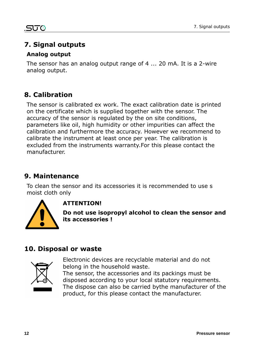# **7. Signal outputs**

#### **Analog output**

The sensor has an analog output range of 4 ... 20 mA. It is a 2-wire analog output.

# **8. Calibration**

The sensor is calibrated ex work. The exact calibration date is printed on the certificate which is supplied together with the sensor. The accuracy of the sensor is regulated by the on site conditions, parameters like oil, high humidity or other impurities can affect the calibration and furthermore the accuracy. However we recommend to calibrate the instrument at least once per year. The calibration is excluded from the instruments warranty.For this please contact the manufacturer.

### **9. Maintenance**

To clean the sensor and its accessories it is recommended to use s moist cloth only



#### **ATTENTION!**

**Do not use isopropyl alcohol to clean the sensor and its accessories !**

# **10. Disposal or waste**



Electronic devices are recyclable material and do not belong in the household waste.

The sensor, the accessories and its packings must be disposed according to your local statutory requirements. The dispose can also be carried bythe manufacturer of the product, for this please contact the manufacturer.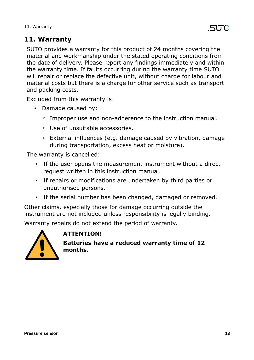# **11. Warranty**

SUTO provides a warranty for this product of 24 months covering the material and workmanship under the stated operating conditions from the date of delivery. Please report any findings immediately and within the warranty time. If faults occurring during the warranty time SUTO will repair or replace the defective unit, without charge for labour and material costs but there is a charge for other service such as transport and packing costs.

Excluded from this warranty is:

- Damage caused by:
	- Improper use and non-adherence to the instruction manual.
	- Use of unsuitable accessories.
	- External influences (e.g. damage caused by vibration, damage during transportation, excess heat or moisture).

The warranty is cancelled:

- If the user opens the measurement instrument without a direct request written in this instruction manual.
- If repairs or modifications are undertaken by third parties or unauthorised persons.
- If the serial number has been changed, damaged or removed.

Other claims, especially those for damage occurring outside the instrument are not included unless responsibility is legally binding.

Warranty repairs do not extend the period of warranty.



#### **ATTENTION!**

**Batteries have a reduced warranty time of 12 months.**